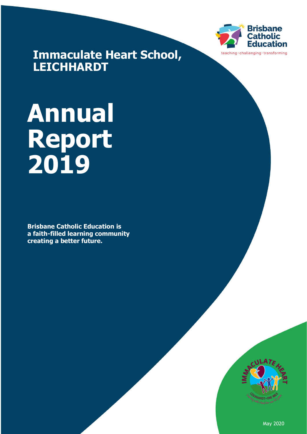

**Immaculate Heart School, LEICHHARDT**

# **Annual Report 2019**

**Brisbane Catholic Education is a faith-filled learning community creating a better future.**



May 2020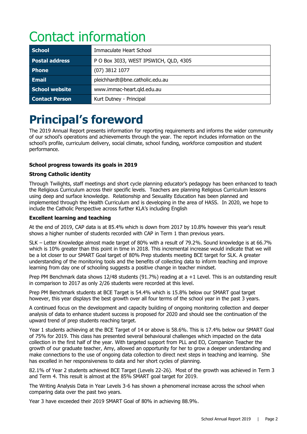# Contact information

| <b>School</b>         | Immaculate Heart School               |
|-----------------------|---------------------------------------|
| <b>Postal address</b> | P O Box 3033, WEST IPSWICH, QLD, 4305 |
| <b>Phone</b>          | $(07)$ 3812 1077                      |
| <b>Email</b>          | pleichhardt@bne.catholic.edu.au       |
| School website        | www.immac-heart.gld.edu.au            |
| <b>Contact Person</b> | Kurt Dutney - Principal               |

# **Principal's foreword**

The 2019 Annual Report presents information for reporting requirements and informs the wider community of our school's operations and achievements through the year. The report includes information on the school's profile, curriculum delivery, social climate, school funding, workforce composition and student performance.

#### **School progress towards its goals in 2019**

#### **Strong Catholic identity**

Through Twilights, staff meetings and short cycle planning educator's pedagogy has been enhanced to teach the Religious Curriculum across their specific levels. Teachers are planning Religious Curriculum lessons using deep and surface knowledge. Relationship and Sexuality Education has been planned and implemented through the Health Curriculum and is developing in the area of HASS. In 2020, we hope to include the Catholic Perspective across further KLA's including English

#### **Excellent learning and teaching**

At the end of 2019, CAP data is at 85.4% which is down from 2017 by 10.8% however this year's result shows a higher number of students recorded with CAP in Term 1 than previous years.

SLK – Letter Knowledge almost made target of 80% with a result of 79.2%. Sound knowledge is at 66.7% which is 10% greater than this point in time in 2018. This incremental increase would indicate that we will be a lot closer to our SMART Goal target of 80% Prep students meeting BCE target for SLK. A greater understanding of the monitoring tools and the benefits of collecting data to inform teaching and improve learning from day one of schooling suggests a positive change in teacher mindset.

Prep PM Benchmark data shows 12/48 students (91.7%) reading at a +1 Level. This is an outstanding result in comparison to 2017 as only 2/26 students were recorded at this level.

Prep PM Benchmark students at BCE Target is 54.4% which is 15.8% below our SMART goal target however, this year displays the best growth over all four terms of the school year in the past 3 years.

A continued focus on the development and capacity building of ongoing monitoring collection and deeper analysis of data to enhance student success is proposed for 2020 and should see the continuation of the upward trend of prep students reaching target.

Year 1 students achieving at the BCE Target of 14 or above is 58.6%. This is 17.4% below our SMART Goal of 75% for 2019. This class has presented several behavioural challenges which impacted on the data collection in the first half of the year. With targeted support from PLL and EO, Companion Teacher the growth of our graduate teacher, Amy, allowed an opportunity for her to grow a deeper understanding and make connections to the use of ongoing data collection to direct next steps in teaching and learning. She has excelled in her responsiveness to data and her short cycles of planning.

82.1% of Year 2 students achieved BCE Target (Levels 22-26). Most of the growth was achieved in Term 3 and Term 4. This result is almost at the 85% SMART goal target for 2019.

The Writing Analysis Data in Year Levels 3-6 has shown a phenomenal increase across the school when comparing data over the past two years.

Year 3 have exceeded their 2019 SMART Goal of 80% in achieving 88.9%.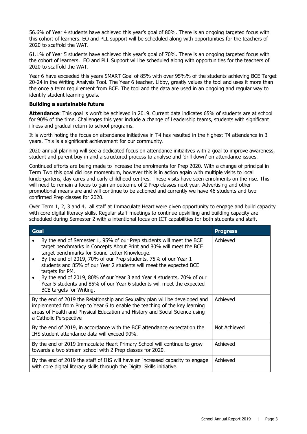56.6% of Year 4 students have achieved this year's goal of 80%. There is an ongoing targeted focus with this cohort of learners. EO and PLL support will be scheduled along with opportunities for the teachers of 2020 to scaffold the WAT.

61.1% of Year 5 students have achieved this year's goal of 70%. There is an ongoing targeted focus with the cohort of learners. EO and PLL Support will be scheduled along with opportunities for the teachers of 2020 to scaffold the WAT.

Year 6 have exceeded this years SMART Goal of 85% with over 95%% of the students achieving BCE Target 20-24 in the Writing Analysis Tool. The Year 6 teacher, Libby, greatly values the tool and uses it more than the once a term requirement from BCE. The tool and the data are used in an ongoing and regular way to identify student learning goals.

#### **Building a sustainable future**

**Attendance**: This goal is won't be achieved in 2019. Current data indicates 65% of students are at school for 90% of the time. Challenges this year include a change of Leadership teams, students with significant illness and gradual return to school programs.

It is worth noting the focus on attendance initiatives in T4 has resulted in the highest T4 attendance in 3 years. This is a significant achievement for our community.

2020 annual planning will see a dedicated focus on attendance initiaitves with a goal to improve awareness, student and parent buy in and a structured process to analyse and 'drill down' on attendance issues.

Continued efforts are being made to increase the enrolments for Prep 2020. With a change of principal in Term Two this goal did lose momentum, however this is in action again with multiple visits to local kindergartens, day cares and early childhood centres. These visits have seen enrolments on the rise. This will need to remain a focus to gain an outcome of 2 Prep classes next year. Advertising and other promotional means are and will continue to be actioned and currently we have 46 students and two confirmed Prep classes for 2020.

Over Term 1, 2, 3 and 4, all staff at Immaculate Heart were given opportunity to engage and build capacity with core digital literacy skills. Regular staff meetings to continue upskilling and building capacity are scheduled during Semester 2 with a intentional focus on ICT capabilities for both students and staff.

| Goal                                                                                                                                                                                                                                                                                                                                                                                                                                                                                                                                   | <b>Progress</b> |
|----------------------------------------------------------------------------------------------------------------------------------------------------------------------------------------------------------------------------------------------------------------------------------------------------------------------------------------------------------------------------------------------------------------------------------------------------------------------------------------------------------------------------------------|-----------------|
| By the end of Semester 1, 95% of our Prep students will meet the BCE<br>target benchmarks in Concepts About Print and 80% will meet the BCE<br>target benchmarks for Sound Letter Knowledge.<br>By the end of 2019, 70% of our Prep students, 75% of our Year 1<br>students and 85% of our Year 2 students will meet the expected BCE<br>targets for PM.<br>By the end of 2019, 80% of our Year 3 and Year 4 students, 70% of our<br>Year 5 students and 85% of our Year 6 students will meet the expected<br>BCE targets for Writing. | Achieved        |
| By the end of 2019 the Relationship and Sexuality plan will be developed and<br>implemented from Prep to Year 6 to enable the teaching of the key learning<br>areas of Health and Physical Education and History and Social Science using<br>a Catholic Perspective                                                                                                                                                                                                                                                                    | Achieved        |
| By the end of 2019, in accordance with the BCE attendance expectation the<br>IHS student attendance data will exceed 90%.                                                                                                                                                                                                                                                                                                                                                                                                              | Not Achieved    |
| By the end of 2019 Immaculate Heart Primary School will continue to grow<br>towards a two stream school with 2 Prep classes for 2020.                                                                                                                                                                                                                                                                                                                                                                                                  | Achieved        |
| By the end of 2019 the staff of IHS will have an increased capacity to engage<br>with core digital literacy skills through the Digital Skills initiative.                                                                                                                                                                                                                                                                                                                                                                              | Achieved        |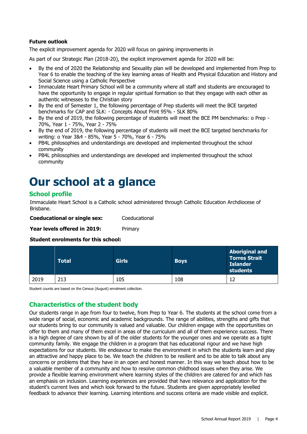#### **Future outlook**

The explicit improvement agenda for 2020 will focus on gaining improvements in

As part of our Strategic Plan (2018-20), the explicit improvement agenda for 2020 will be:

- By the end of 2020 the Relationship and Sexuality plan will be developed and implemented from Prep to Year 6 to enable the teaching of the key learning areas of Health and Physical Education and History and Social Science using a Catholic Perspective
- Immaculate Heart Primary School will be a community where all staff and students are encouraged to have the opportunity to engage in regular spiritual formation so that they engage with each other as authentic witnesses to the Christian story
- By the end of Semester 1, the following percentage of Prep students will meet the BCE targeted benchmarks for CAP and SLK: - Concepts About Print 95% - SLK 80%
- By the end of 2019, the following percentage of students will meet the BCE PM benchmarks: o Prep 70%, Year 1 - 75%, Year 2 - 75%
- By the end of 2019, the following percentage of students will meet the BCE targeted benchmarks for writing: o Year 3&4 - 85%, Year 5 - 70%, Year 6 - 75%
- PB4L philosophies and understandings are developed and implemented throughout the school community
- PB4L philosophies and understandings are developed and implemented throughout the school community

# **Our school at a glance**

#### **School profile**

Immaculate Heart School is a Catholic school administered through Catholic Education Archdiocese of Brisbane.

| <b>Coeducational or single sex:</b> | Coeducational |
|-------------------------------------|---------------|
|                                     |               |

**Year levels offered in 2019:** Primary

**Student enrolments for this school:**

|      | <b>Total</b> | <b>Girls</b> | <b>Boys</b> | <b>Aboriginal and</b><br><b>Torres Strait</b><br><b>Islander</b><br>students |
|------|--------------|--------------|-------------|------------------------------------------------------------------------------|
| 2019 | 213          | 105          | 108         |                                                                              |

Student counts are based on the Census (August) enrolment collection.

#### **Characteristics of the student body**

Our students range in age from four to twelve, from Prep to Year 6. The students at the school come from a wide range of social, economic and academic backgrounds. The range of abilities, strengths and gifts that our students bring to our community is valued and valuable. Our children engage with the opportunities on offer to them and many of them excel in areas of the curriculum and all of them experience success. There is a high degree of care shown by all of the older students for the younger ones and we operate as a tight community family. We engage the children in a program that has educational rigour and we have high expectations for our students. We endeavour to make the environment in which the students learn and play an attractive and happy place to be. We teach the children to be resilient and to be able to talk about any concerns or problems that they have in an open and honest manner. In this way we teach about how to be a valuable member of a community and how to resolve common childhood issues when they arise. We provide a flexible learning environment where learning styles of the children are catered for and which has an emphasis on inclusion. Learning experiences are provided that have relevance and application for the student's current lives and which look forward to the future. Students are given appropriately levelled feedback to advance their learning. Learning intentions and success criteria are made visible and explicit.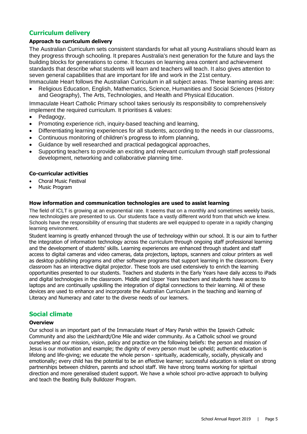#### **Curriculum delivery**

#### **Approach to curriculum delivery**

The Australian Curriculum sets consistent standards for what all young Australians should learn as they progress through schooling. It prepares Australia's next generation for the future and lays the building blocks for generations to come. It focuses on learning area content and achievement standards that describe what students will learn and teachers will teach. It also gives attention to seven general capabilities that are important for life and work in the 21st century.

Immaculate Heart follows the Australian Curriculum in all subject areas. These learning areas are: • Religious Education, English, Mathematics, Science, Humanities and Social Sciences (History and Geography), The Arts, Technologies, and Health and Physical Education.

Immaculate Heart Catholic Primary school takes seriously its responsibility to comprehensively implement the required curriculum. It prioritises & values:

- Pedagogy,
- Promoting experience rich, inquiry-based teaching and learning,
- Differentiating learning experiences for all students, according to the needs in our classrooms,
- Continuous monitoring of children's progress to inform planning,
- Guidance by well researched and practical pedagogical approaches,
- Supporting teachers to provide an exciting and relevant curriculum through staff professional development, networking and collaborative planning time.

#### **Co-curricular activities**

- Choral Music Festival
- Music Program

#### **How information and communication technologies are used to assist learning**

The field of ICLT is growing at an exponential rate. It seems that on a monthly and sometimes weekly basis, new technologies are presented to us. Our students face a vastly different world from that which we knew. Schools have the responsibility of ensuring that students are well equipped to operate in a rapidly changing learning environment.

Student learning is greatly enhanced through the use of technology within our school. It is our aim to further the integration of information technology across the curriculum through ongoing staff professional learning and the development of students' skills. Learning experiences are enhanced through student and staff access to digital cameras and video cameras, data projectors, laptops, scanners and colour printers as well as desktop publishing programs and other software programs that support learning in the classroom. Every classroom has an interactive digital projector. These tools are used extensively to enrich the learning opportunities presented to our students. Teachers and students in the Early Years have daily access to iPads and digital technologies in the classroom. Middle and Upper Years teachers and students have access to laptops and are continually upskilling the integration of digital connections to their learning. All of these devices are used to enhance and incorporate the Australian Curriculum in the teaching and learning of Literacy and Numeracy and cater to the diverse needs of our learners.

#### **Social climate**

#### **Overview**

Our school is an important part of the Immaculate Heart of Mary Parish within the Ipswich Catholic Community and also the Leichhardt/One Mile and wider community. As a Catholic school we ground ourselves and our mission, vision, policy and practice on the following beliefs: the person and mission of Jesus is our motivation and example; the dignity of every person must be upheld; authentic education is lifelong and life-giving; we educate the whole person - spiritually, academically, socially, physically and emotionally; every child has the potential to be an effective learner; successful education is reliant on strong partnerships between children, parents and school staff. We have strong teams working for spiritual direction and more generalised student support. We have a whole school pro-active approach to bullying and teach the Beating Bully Bulldozer Program.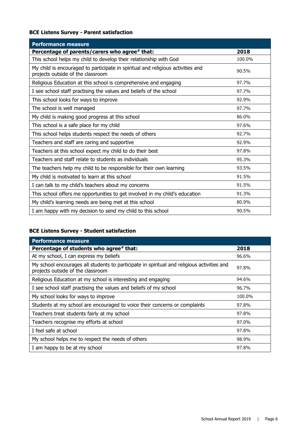#### **BCE Listens Survey - Parent satisfaction**

| <b>Performance measure</b>                                                                                           |        |
|----------------------------------------------------------------------------------------------------------------------|--------|
| Percentage of parents/carers who agree# that:                                                                        | 2018   |
| This school helps my child to develop their relationship with God                                                    | 100.0% |
| My child is encouraged to participate in spiritual and religious activities and<br>projects outside of the classroom | 90.5%  |
| Religious Education at this school is comprehensive and engaging                                                     | 97.7%  |
| I see school staff practising the values and beliefs of the school                                                   | 97.7%  |
| This school looks for ways to improve                                                                                | 92.9%  |
| The school is well managed                                                                                           | 97.7%  |
| My child is making good progress at this school                                                                      | 86.0%  |
| This school is a safe place for my child                                                                             | 97.6%  |
| This school helps students respect the needs of others                                                               | 92.7%  |
| Teachers and staff are caring and supportive                                                                         | 92.9%  |
| Teachers at this school expect my child to do their best                                                             | 97.8%  |
| Teachers and staff relate to students as individuals                                                                 | 95.3%  |
| The teachers help my child to be responsible for their own learning                                                  | 93.5%  |
| My child is motivated to learn at this school                                                                        | 91.5%  |
| I can talk to my child's teachers about my concerns                                                                  | 91.5%  |
| This school offers me opportunities to get involved in my child's education                                          | 91.3%  |
| My child's learning needs are being met at this school                                                               | 80.9%  |
| I am happy with my decision to send my child to this school                                                          | 90.5%  |

#### **BCE Listens Survey - Student satisfaction**

| <b>Performance measure</b>                                                                                                      |        |
|---------------------------------------------------------------------------------------------------------------------------------|--------|
| Percentage of students who agree# that:                                                                                         | 2018   |
| At my school, I can express my beliefs                                                                                          | 96.6%  |
| My school encourages all students to participate in spiritual and religious activities and<br>projects outside of the classroom | 97.8%  |
| Religious Education at my school is interesting and engaging                                                                    | 94.6%  |
| I see school staff practising the values and beliefs of my school                                                               | 96.7%  |
| My school looks for ways to improve                                                                                             | 100.0% |
| Students at my school are encouraged to voice their concerns or complaints                                                      | 97.8%  |
| Teachers treat students fairly at my school                                                                                     | 97.8%  |
| Teachers recognise my efforts at school                                                                                         | 97.0%  |
| I feel safe at school                                                                                                           | 97.8%  |
| My school helps me to respect the needs of others                                                                               | 98.9%  |
| I am happy to be at my school                                                                                                   | 97.8%  |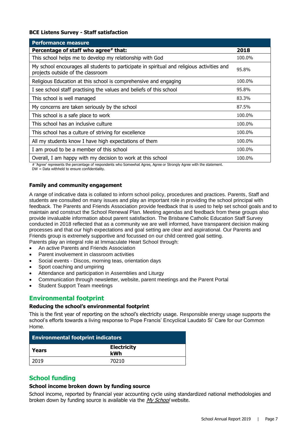#### **BCE Listens Survey - Staff satisfaction**

| <b>Performance measure</b>                                                                                                      |        |
|---------------------------------------------------------------------------------------------------------------------------------|--------|
| Percentage of staff who agree# that:                                                                                            | 2018   |
| This school helps me to develop my relationship with God                                                                        | 100.0% |
| My school encourages all students to participate in spiritual and religious activities and<br>projects outside of the classroom | 95.8%  |
| Religious Education at this school is comprehensive and engaging                                                                | 100.0% |
| I see school staff practising the values and beliefs of this school                                                             | 95.8%  |
| This school is well managed                                                                                                     | 83.3%  |
| My concerns are taken seriously by the school                                                                                   | 87.5%  |
| This school is a safe place to work                                                                                             | 100.0% |
| This school has an inclusive culture                                                                                            | 100.0% |
| This school has a culture of striving for excellence                                                                            | 100.0% |
| All my students know I have high expectations of them                                                                           | 100.0% |
| I am proud to be a member of this school                                                                                        | 100.0% |
| Overall, I am happy with my decision to work at this school                                                                     | 100.0% |

# 'Agree' represents the percentage of respondents who Somewhat Agree, Agree or Strongly Agree with the statement.

DW = Data withheld to ensure confidentiality.

#### **Family and community engagement**

A range of indicative data is collated to inform school policy, procedures and practices. Parents, Staff and students are consulted on many issues and play an important role in providing the school principal with feedback. The Parents and Friends Association provide feedback that is used to help set school goals and to maintain and construct the School Renewal Plan. Meeting agendas and feedback from these groups also provide invaluable information about parent satisfaction. The Brisbane Catholic Education Staff Survey conducted in 2018 reflected that as a community we are well informed, have transparent decision making processes and that our high expectations and goal setting are clear and aspirational. Our Parents and Friends group is extremely supportive and focussed on our child centred goal setting. Parents play an integral role at Immaculate Heart School through:

- An active Parents and Friends Association
- Parent involvement in classroom activities
- Social events Discos, morning teas, orientation days
- Sport coaching and umpiring
- Attendance and participation in Assemblies and Liturgy
- Communication through newsletter, website, parent meetings and the Parent Portal
- Student Support Team meetings

#### **Environmental footprint**

#### **Reducing the school's environmental footprint**

This is the first year of reporting on the school's electricity usage. Responsible energy usage supports the school's efforts towards a living response to Pope Francis' Encyclical Laudato Si' Care for our Common Home.

| <b>Environmental footprint indicators</b> |                           |  |
|-------------------------------------------|---------------------------|--|
| Years                                     | <b>Electricity</b><br>kWh |  |
| 2019                                      | 70210                     |  |

#### **School funding**

#### **School income broken down by funding source**

School income, reported by financial year accounting cycle using standardized national methodologies and broken down by funding source is available via the [My School](http://www.myschool.edu.au/) website.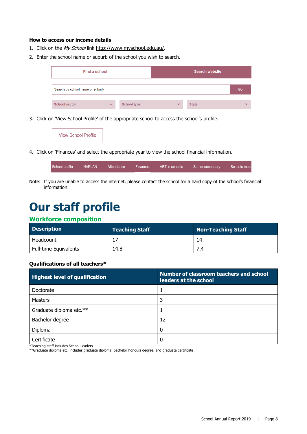#### **How to access our income details**

- 1. Click on the My School link <http://www.myschool.edu.au/>.
- 2. Enter the school name or suburb of the school you wish to search.

| Find a school                   |              |                    |              | <b>Search website</b> |              |
|---------------------------------|--------------|--------------------|--------------|-----------------------|--------------|
| Search by school name or suburb |              |                    |              |                       | Go           |
| <b>School sector</b>            | $\checkmark$ | <b>School type</b> | $\checkmark$ | <b>State</b>          | $\checkmark$ |

3. Click on 'View School Profile' of the appropriate school to access the school's profile.

4. Click on 'Finances' and select the appropriate year to view the school financial information.

| School profile | NAPLAN | Attendance | Finances | VET in schools | Senior secondary | Schools map |
|----------------|--------|------------|----------|----------------|------------------|-------------|
|                |        |            |          |                |                  |             |

Note: If you are unable to access the internet, please contact the school for a hard copy of the school's financial information.

### **Our staff profile**

#### **Workforce composition**

| <b>Description</b>           | <b>Teaching Staff</b> | <b>Non-Teaching Staff</b> |
|------------------------------|-----------------------|---------------------------|
| Headcount                    |                       | 14                        |
| <b>Full-time Equivalents</b> | 14.8                  |                           |

#### **Qualifications of all teachers\***

| <b>Highest level of qualification</b> | Number of classroom teachers and school<br>leaders at the school |
|---------------------------------------|------------------------------------------------------------------|
| Doctorate                             |                                                                  |
| Masters                               | 3                                                                |
| Graduate diploma etc.**               |                                                                  |
| Bachelor degree                       | 12                                                               |
| Diploma                               | 0                                                                |
| Certificate<br>.                      | 0                                                                |

\*Teaching staff includes School Leaders

\*\*Graduate diploma etc. includes graduate diploma, bachelor honours degree, and graduate certificate.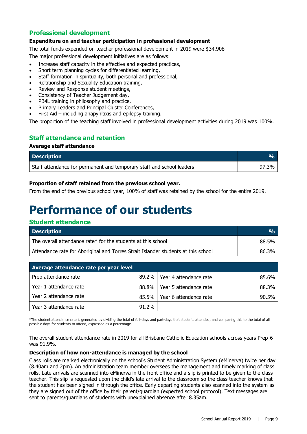#### **Professional development**

#### **Expenditure on and teacher participation in professional development**

The total funds expended on teacher professional development in 2019 were \$34,908

The major professional development initiatives are as follows:

- Increase staff capacity in the effective and expected practices,
- Short term planning cycles for differentiated learning,
- Staff formation in spirituality, both personal and professional,
- Relationship and Sexuality Education training,
- Review and Response student meetings,
- Consistency of Teacher Judgement day,
- PB4L training in philosophy and practice,
- Primary Leaders and Principal Cluster Conferences,
- First Aid  $-$  including anapyhlaxis and epilepsy training.

The proportion of the teaching staff involved in professional development activities during 2019 was 100%.

#### **Staff attendance and retention**

#### **Average staff attendance**

| <b>Description</b>                                                    |       |
|-----------------------------------------------------------------------|-------|
| Staff attendance for permanent and temporary staff and school leaders | 97.3% |

#### **Proportion of staff retained from the previous school year.**

From the end of the previous school year, 100% of staff was retained by the school for the entire 2019.

# **Performance of our students**

#### **Student attendance**

| <b>Description</b>                                                                | $\mathcal{O}_{\Omega}$ |
|-----------------------------------------------------------------------------------|------------------------|
| The overall attendance rate* for the students at this school                      | 88.5%                  |
| Attendance rate for Aboriginal and Torres Strait Islander students at this school | 86.3%                  |

| Average attendance rate per year level |          |                        |       |
|----------------------------------------|----------|------------------------|-------|
| Prep attendance rate                   | $89.2\%$ | Year 4 attendance rate | 85.6% |
| Year 1 attendance rate                 | 88.8% l  | Year 5 attendance rate | 88.3% |
| Year 2 attendance rate                 | 85.5% l  | Year 6 attendance rate | 90.5% |
| Year 3 attendance rate                 | 91.2%    |                        |       |

\*The student attendance rate is generated by dividing the total of full-days and part-days that students attended, and comparing this to the total of all possible days for students to attend, expressed as a percentage.

The overall student attendance rate in 2019 for all Brisbane Catholic Education schools across years Prep-6 was 91.9%.

#### **Description of how non-attendance is managed by the school**

Class rolls are marked electronically on the school's Student Administration System (eMinerva) twice per day (8.40am and 2pm). An administration team member oversees the management and timely marking of class rolls. Late arrivals are scanned into eMinerva in the front office and a slip is printed to be given to the class teacher. This slip is requested upon the child's late arrival to the classroom so the class teacher knows that the student has been signed in through the office. Early departing students also scanned into the system as they are signed out of the office by their parent/guardian (expected school protocol). Text messages are sent to parents/guardians of students with unexplained absence after 8.35am.